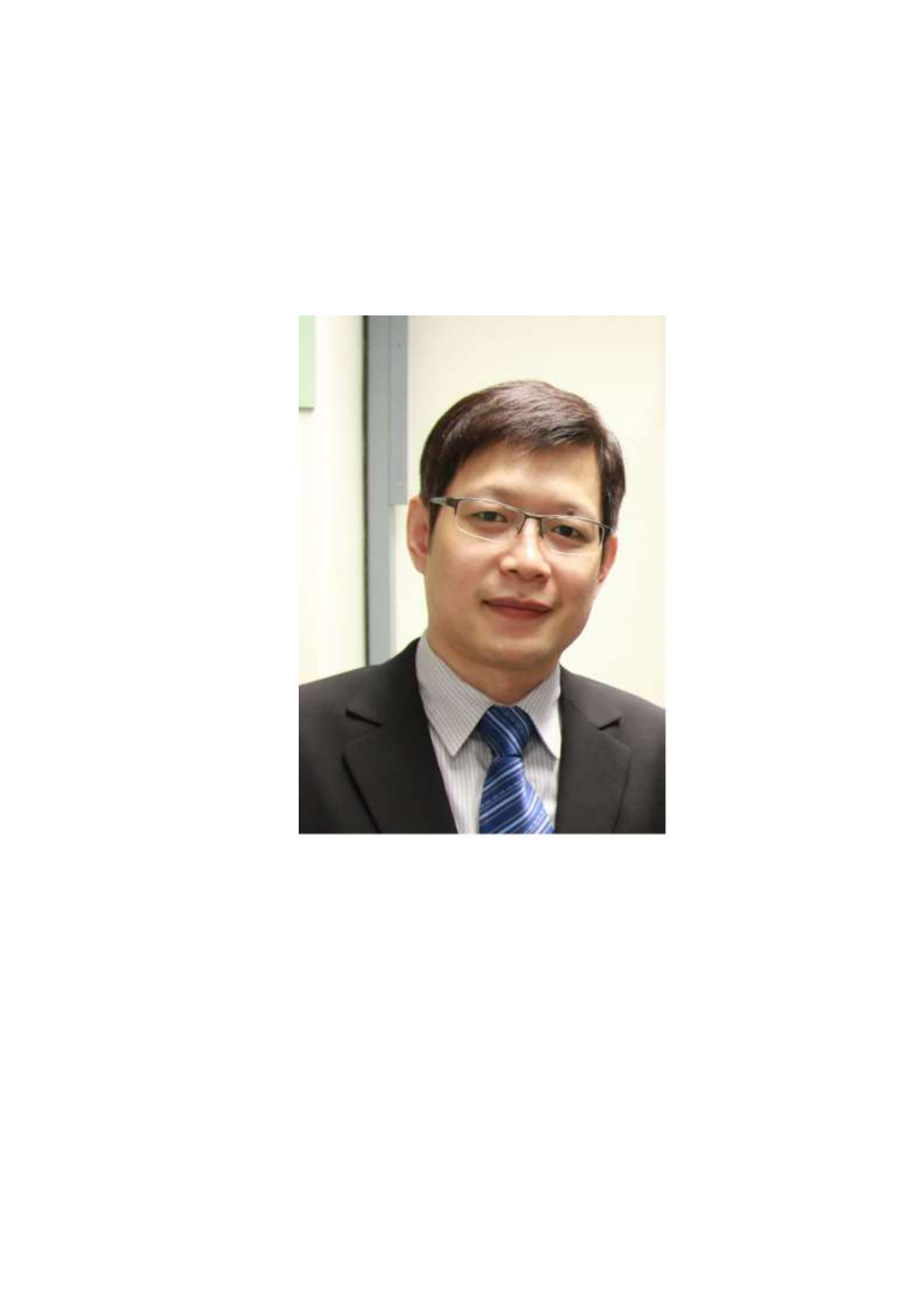